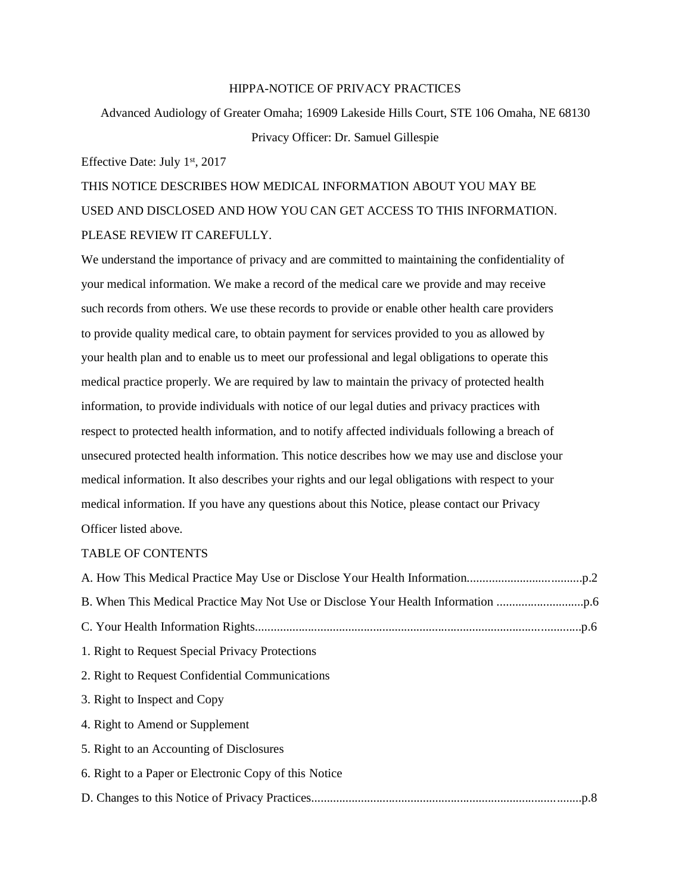# HIPPA-NOTICE OF PRIVACY PRACTICES

Advanced Audiology of Greater Omaha; 16909 Lakeside Hills Court, STE 106 Omaha, NE 68130 Privacy Officer: Dr. Samuel Gillespie

Effective Date: July 1st, 2017

THIS NOTICE DESCRIBES HOW MEDICAL INFORMATION ABOUT YOU MAY BE USED AND DISCLOSED AND HOW YOU CAN GET ACCESS TO THIS INFORMATION. PLEASE REVIEW IT CAREFULLY.

We understand the importance of privacy and are committed to maintaining the confidentiality of your medical information. We make a record of the medical care we provide and may receive such records from others. We use these records to provide or enable other health care providers to provide quality medical care, to obtain payment for services provided to you as allowed by your health plan and to enable us to meet our professional and legal obligations to operate this medical practice properly. We are required by law to maintain the privacy of protected health information, to provide individuals with notice of our legal duties and privacy practices with respect to protected health information, and to notify affected individuals following a breach of unsecured protected health information. This notice describes how we may use and disclose your medical information. It also describes your rights and our legal obligations with respect to your medical information. If you have any questions about this Notice, please contact our Privacy Officer listed above.

# TABLE OF CONTENTS

| 1. Right to Request Special Privacy Protections       |
|-------------------------------------------------------|
| 2. Right to Request Confidential Communications       |
| 3. Right to Inspect and Copy                          |
| 4. Right to Amend or Supplement                       |
| 5. Right to an Accounting of Disclosures              |
| 6. Right to a Paper or Electronic Copy of this Notice |
|                                                       |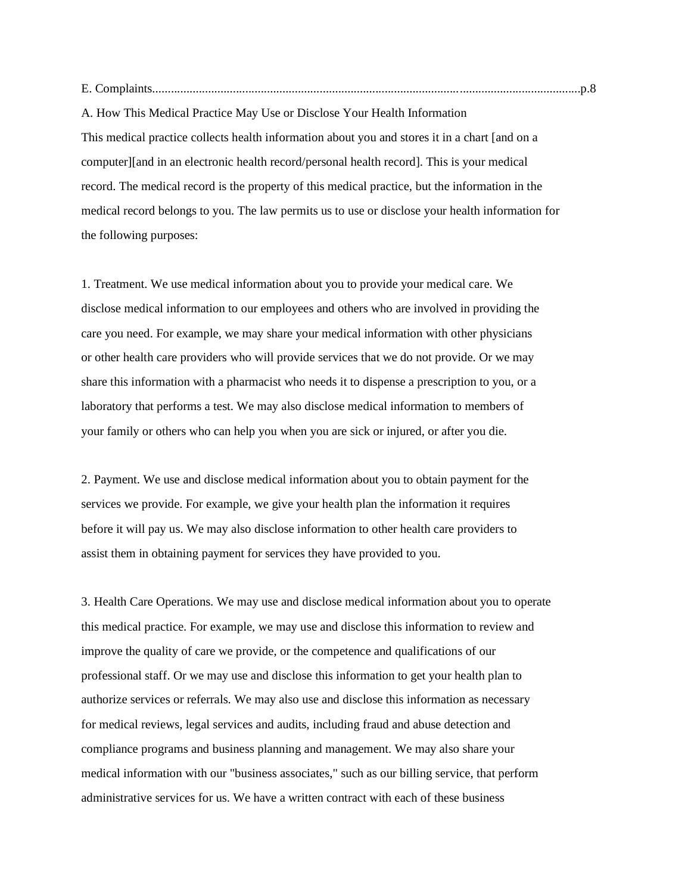E. Complaints..........................................................................................................................................p.8

A. How This Medical Practice May Use or Disclose Your Health Information This medical practice collects health information about you and stores it in a chart [and on a computer][and in an electronic health record/personal health record]. This is your medical record. The medical record is the property of this medical practice, but the information in the medical record belongs to you. The law permits us to use or disclose your health information for the following purposes:

1. Treatment. We use medical information about you to provide your medical care. We disclose medical information to our employees and others who are involved in providing the care you need. For example, we may share your medical information with other physicians or other health care providers who will provide services that we do not provide. Or we may share this information with a pharmacist who needs it to dispense a prescription to you, or a laboratory that performs a test. We may also disclose medical information to members of your family or others who can help you when you are sick or injured, or after you die.

2. Payment. We use and disclose medical information about you to obtain payment for the services we provide. For example, we give your health plan the information it requires before it will pay us. We may also disclose information to other health care providers to assist them in obtaining payment for services they have provided to you.

3. Health Care Operations. We may use and disclose medical information about you to operate this medical practice. For example, we may use and disclose this information to review and improve the quality of care we provide, or the competence and qualifications of our professional staff. Or we may use and disclose this information to get your health plan to authorize services or referrals. We may also use and disclose this information as necessary for medical reviews, legal services and audits, including fraud and abuse detection and compliance programs and business planning and management. We may also share your medical information with our "business associates," such as our billing service, that perform administrative services for us. We have a written contract with each of these business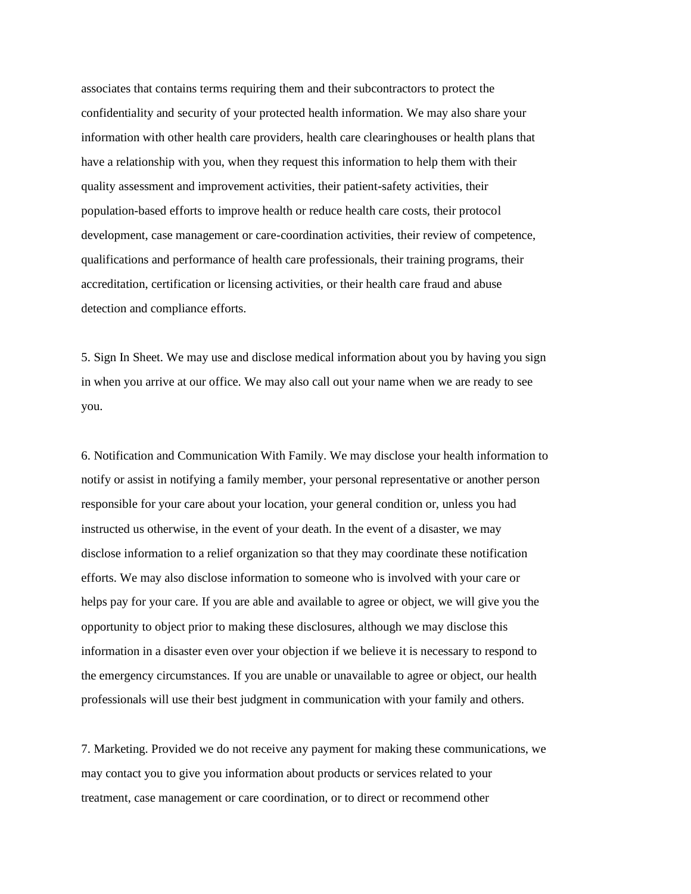associates that contains terms requiring them and their subcontractors to protect the confidentiality and security of your protected health information. We may also share your information with other health care providers, health care clearinghouses or health plans that have a relationship with you, when they request this information to help them with their quality assessment and improvement activities, their patient-safety activities, their population-based efforts to improve health or reduce health care costs, their protocol development, case management or care-coordination activities, their review of competence, qualifications and performance of health care professionals, their training programs, their accreditation, certification or licensing activities, or their health care fraud and abuse detection and compliance efforts.

5. Sign In Sheet. We may use and disclose medical information about you by having you sign in when you arrive at our office. We may also call out your name when we are ready to see you.

6. Notification and Communication With Family. We may disclose your health information to notify or assist in notifying a family member, your personal representative or another person responsible for your care about your location, your general condition or, unless you had instructed us otherwise, in the event of your death. In the event of a disaster, we may disclose information to a relief organization so that they may coordinate these notification efforts. We may also disclose information to someone who is involved with your care or helps pay for your care. If you are able and available to agree or object, we will give you the opportunity to object prior to making these disclosures, although we may disclose this information in a disaster even over your objection if we believe it is necessary to respond to the emergency circumstances. If you are unable or unavailable to agree or object, our health professionals will use their best judgment in communication with your family and others.

7. Marketing. Provided we do not receive any payment for making these communications, we may contact you to give you information about products or services related to your treatment, case management or care coordination, or to direct or recommend other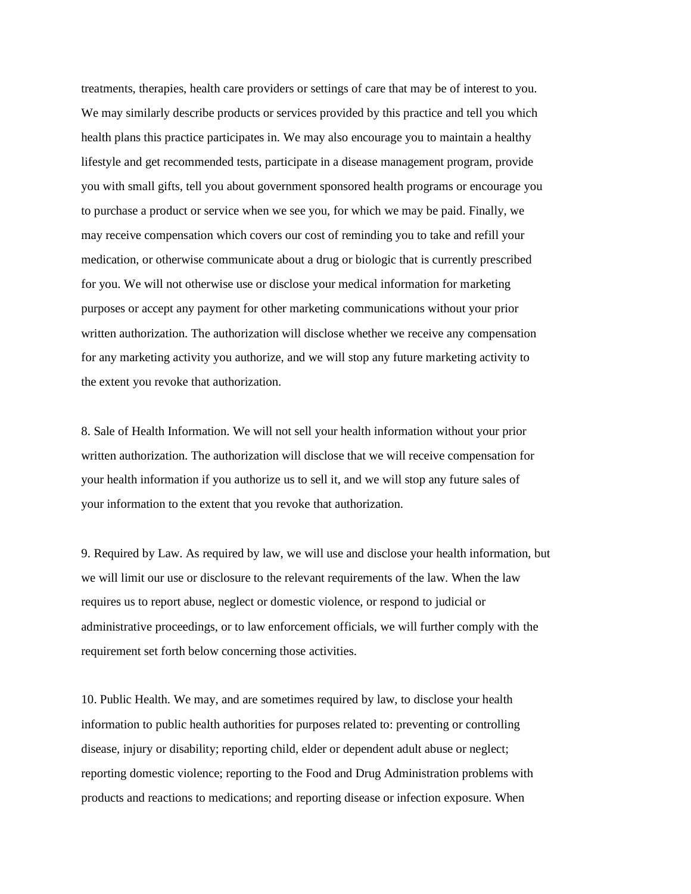treatments, therapies, health care providers or settings of care that may be of interest to you. We may similarly describe products or services provided by this practice and tell you which health plans this practice participates in. We may also encourage you to maintain a healthy lifestyle and get recommended tests, participate in a disease management program, provide you with small gifts, tell you about government sponsored health programs or encourage you to purchase a product or service when we see you, for which we may be paid. Finally, we may receive compensation which covers our cost of reminding you to take and refill your medication, or otherwise communicate about a drug or biologic that is currently prescribed for you. We will not otherwise use or disclose your medical information for marketing purposes or accept any payment for other marketing communications without your prior written authorization. The authorization will disclose whether we receive any compensation for any marketing activity you authorize, and we will stop any future marketing activity to the extent you revoke that authorization.

8. Sale of Health Information. We will not sell your health information without your prior written authorization. The authorization will disclose that we will receive compensation for your health information if you authorize us to sell it, and we will stop any future sales of your information to the extent that you revoke that authorization.

9. Required by Law. As required by law, we will use and disclose your health information, but we will limit our use or disclosure to the relevant requirements of the law. When the law requires us to report abuse, neglect or domestic violence, or respond to judicial or administrative proceedings, or to law enforcement officials, we will further comply with the requirement set forth below concerning those activities.

10. Public Health. We may, and are sometimes required by law, to disclose your health information to public health authorities for purposes related to: preventing or controlling disease, injury or disability; reporting child, elder or dependent adult abuse or neglect; reporting domestic violence; reporting to the Food and Drug Administration problems with products and reactions to medications; and reporting disease or infection exposure. When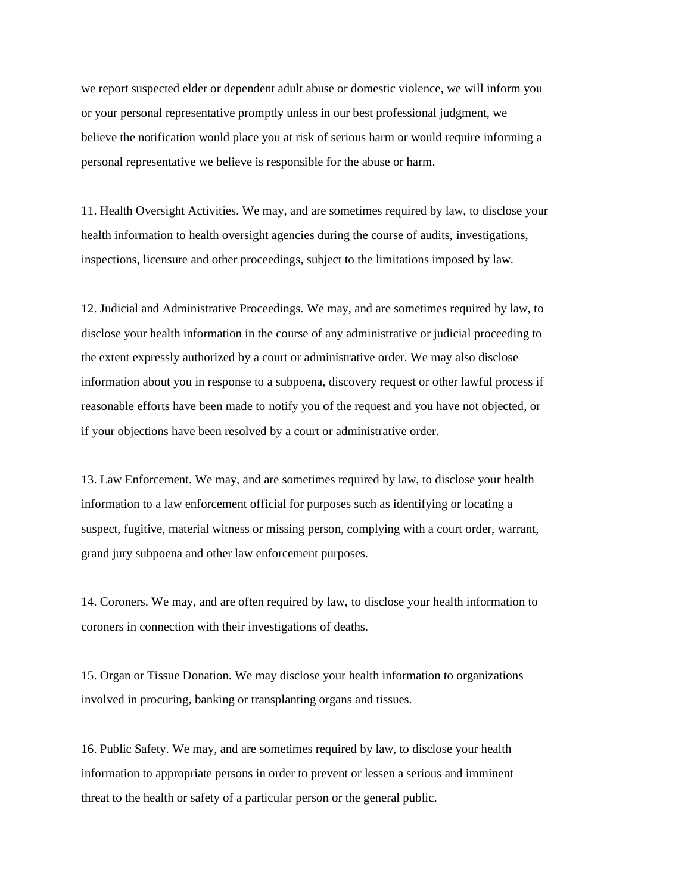we report suspected elder or dependent adult abuse or domestic violence, we will inform you or your personal representative promptly unless in our best professional judgment, we believe the notification would place you at risk of serious harm or would require informing a personal representative we believe is responsible for the abuse or harm.

11. Health Oversight Activities. We may, and are sometimes required by law, to disclose your health information to health oversight agencies during the course of audits, investigations, inspections, licensure and other proceedings, subject to the limitations imposed by law.

12. Judicial and Administrative Proceedings. We may, and are sometimes required by law, to disclose your health information in the course of any administrative or judicial proceeding to the extent expressly authorized by a court or administrative order. We may also disclose information about you in response to a subpoena, discovery request or other lawful process if reasonable efforts have been made to notify you of the request and you have not objected, or if your objections have been resolved by a court or administrative order.

13. Law Enforcement. We may, and are sometimes required by law, to disclose your health information to a law enforcement official for purposes such as identifying or locating a suspect, fugitive, material witness or missing person, complying with a court order, warrant, grand jury subpoena and other law enforcement purposes.

14. Coroners. We may, and are often required by law, to disclose your health information to coroners in connection with their investigations of deaths.

15. Organ or Tissue Donation. We may disclose your health information to organizations involved in procuring, banking or transplanting organs and tissues.

16. Public Safety. We may, and are sometimes required by law, to disclose your health information to appropriate persons in order to prevent or lessen a serious and imminent threat to the health or safety of a particular person or the general public.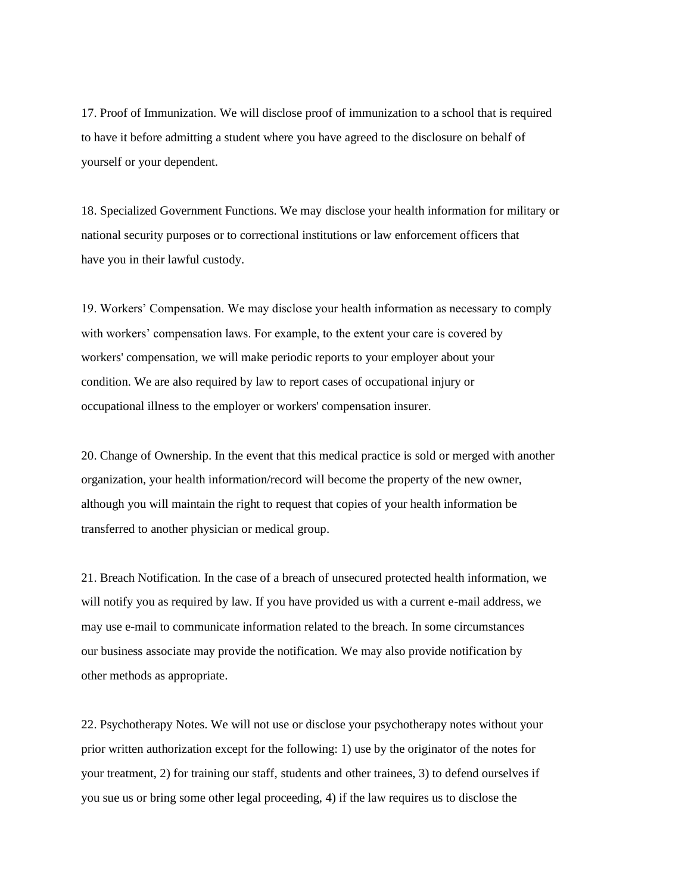17. Proof of Immunization. We will disclose proof of immunization to a school that is required to have it before admitting a student where you have agreed to the disclosure on behalf of yourself or your dependent.

18. Specialized Government Functions. We may disclose your health information for military or national security purposes or to correctional institutions or law enforcement officers that have you in their lawful custody.

19. Workers' Compensation. We may disclose your health information as necessary to comply with workers' compensation laws. For example, to the extent your care is covered by workers' compensation, we will make periodic reports to your employer about your condition. We are also required by law to report cases of occupational injury or occupational illness to the employer or workers' compensation insurer.

20. Change of Ownership. In the event that this medical practice is sold or merged with another organization, your health information/record will become the property of the new owner, although you will maintain the right to request that copies of your health information be transferred to another physician or medical group.

21. Breach Notification. In the case of a breach of unsecured protected health information, we will notify you as required by law. If you have provided us with a current e-mail address, we may use e-mail to communicate information related to the breach. In some circumstances our business associate may provide the notification. We may also provide notification by other methods as appropriate.

22. Psychotherapy Notes. We will not use or disclose your psychotherapy notes without your prior written authorization except for the following: 1) use by the originator of the notes for your treatment, 2) for training our staff, students and other trainees, 3) to defend ourselves if you sue us or bring some other legal proceeding, 4) if the law requires us to disclose the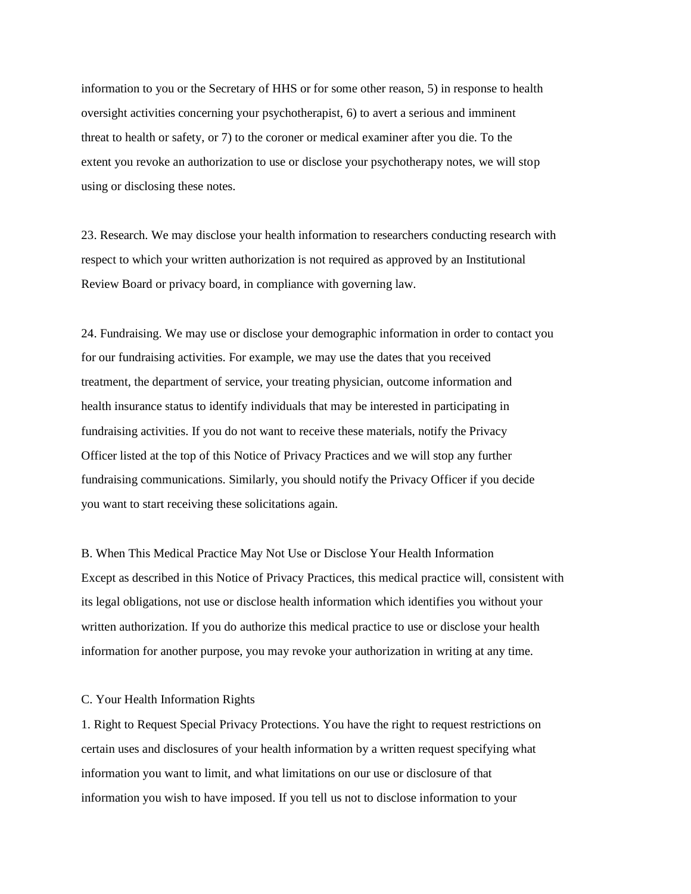information to you or the Secretary of HHS or for some other reason, 5) in response to health oversight activities concerning your psychotherapist, 6) to avert a serious and imminent threat to health or safety, or 7) to the coroner or medical examiner after you die. To the extent you revoke an authorization to use or disclose your psychotherapy notes, we will stop using or disclosing these notes.

23. Research. We may disclose your health information to researchers conducting research with respect to which your written authorization is not required as approved by an Institutional Review Board or privacy board, in compliance with governing law.

24. Fundraising. We may use or disclose your demographic information in order to contact you for our fundraising activities. For example, we may use the dates that you received treatment, the department of service, your treating physician, outcome information and health insurance status to identify individuals that may be interested in participating in fundraising activities. If you do not want to receive these materials, notify the Privacy Officer listed at the top of this Notice of Privacy Practices and we will stop any further fundraising communications. Similarly, you should notify the Privacy Officer if you decide you want to start receiving these solicitations again.

B. When This Medical Practice May Not Use or Disclose Your Health Information Except as described in this Notice of Privacy Practices, this medical practice will, consistent with its legal obligations, not use or disclose health information which identifies you without your written authorization. If you do authorize this medical practice to use or disclose your health information for another purpose, you may revoke your authorization in writing at any time.

#### C. Your Health Information Rights

1. Right to Request Special Privacy Protections. You have the right to request restrictions on certain uses and disclosures of your health information by a written request specifying what information you want to limit, and what limitations on our use or disclosure of that information you wish to have imposed. If you tell us not to disclose information to your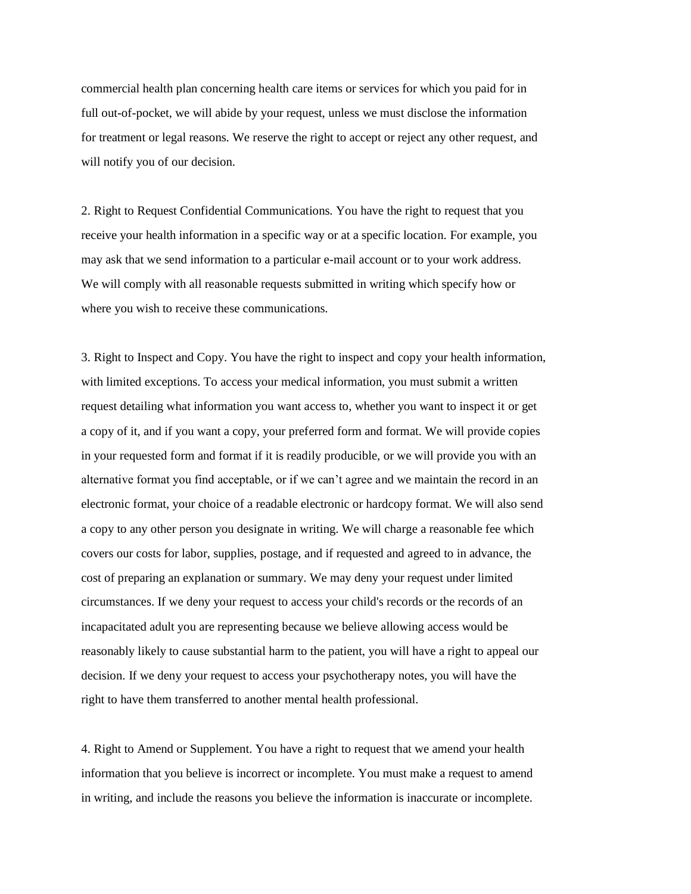commercial health plan concerning health care items or services for which you paid for in full out-of-pocket, we will abide by your request, unless we must disclose the information for treatment or legal reasons. We reserve the right to accept or reject any other request, and will notify you of our decision.

2. Right to Request Confidential Communications. You have the right to request that you receive your health information in a specific way or at a specific location. For example, you may ask that we send information to a particular e-mail account or to your work address. We will comply with all reasonable requests submitted in writing which specify how or where you wish to receive these communications.

3. Right to Inspect and Copy. You have the right to inspect and copy your health information, with limited exceptions. To access your medical information, you must submit a written request detailing what information you want access to, whether you want to inspect it or get a copy of it, and if you want a copy, your preferred form and format. We will provide copies in your requested form and format if it is readily producible, or we will provide you with an alternative format you find acceptable, or if we can't agree and we maintain the record in an electronic format, your choice of a readable electronic or hardcopy format. We will also send a copy to any other person you designate in writing. We will charge a reasonable fee which covers our costs for labor, supplies, postage, and if requested and agreed to in advance, the cost of preparing an explanation or summary. We may deny your request under limited circumstances. If we deny your request to access your child's records or the records of an incapacitated adult you are representing because we believe allowing access would be reasonably likely to cause substantial harm to the patient, you will have a right to appeal our decision. If we deny your request to access your psychotherapy notes, you will have the right to have them transferred to another mental health professional.

4. Right to Amend or Supplement. You have a right to request that we amend your health information that you believe is incorrect or incomplete. You must make a request to amend in writing, and include the reasons you believe the information is inaccurate or incomplete.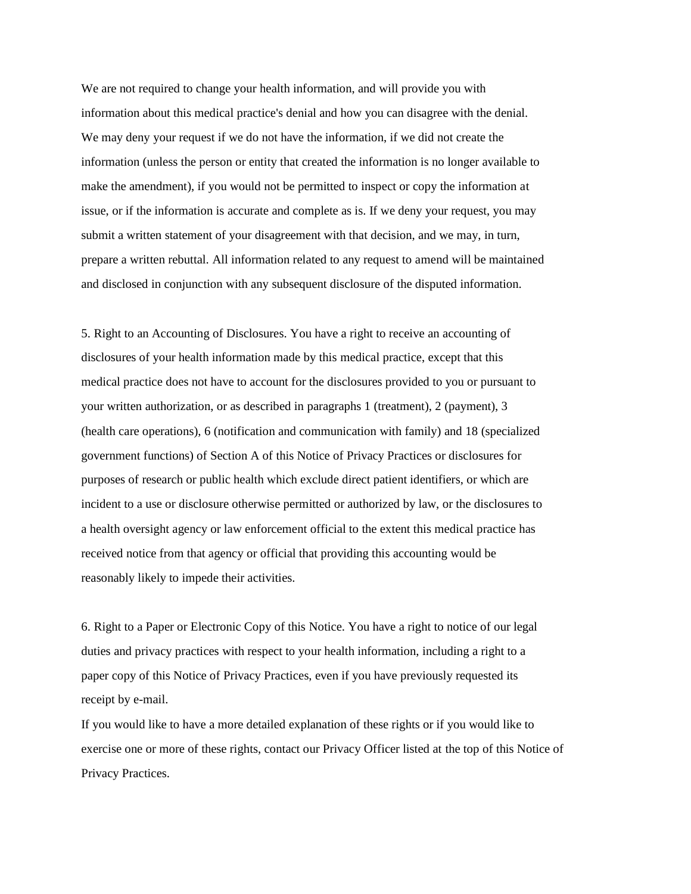We are not required to change your health information, and will provide you with information about this medical practice's denial and how you can disagree with the denial. We may deny your request if we do not have the information, if we did not create the information (unless the person or entity that created the information is no longer available to make the amendment), if you would not be permitted to inspect or copy the information at issue, or if the information is accurate and complete as is. If we deny your request, you may submit a written statement of your disagreement with that decision, and we may, in turn, prepare a written rebuttal. All information related to any request to amend will be maintained and disclosed in conjunction with any subsequent disclosure of the disputed information.

5. Right to an Accounting of Disclosures. You have a right to receive an accounting of disclosures of your health information made by this medical practice, except that this medical practice does not have to account for the disclosures provided to you or pursuant to your written authorization, or as described in paragraphs 1 (treatment), 2 (payment), 3 (health care operations), 6 (notification and communication with family) and 18 (specialized government functions) of Section A of this Notice of Privacy Practices or disclosures for purposes of research or public health which exclude direct patient identifiers, or which are incident to a use or disclosure otherwise permitted or authorized by law, or the disclosures to a health oversight agency or law enforcement official to the extent this medical practice has received notice from that agency or official that providing this accounting would be reasonably likely to impede their activities.

6. Right to a Paper or Electronic Copy of this Notice. You have a right to notice of our legal duties and privacy practices with respect to your health information, including a right to a paper copy of this Notice of Privacy Practices, even if you have previously requested its receipt by e-mail.

If you would like to have a more detailed explanation of these rights or if you would like to exercise one or more of these rights, contact our Privacy Officer listed at the top of this Notice of Privacy Practices.